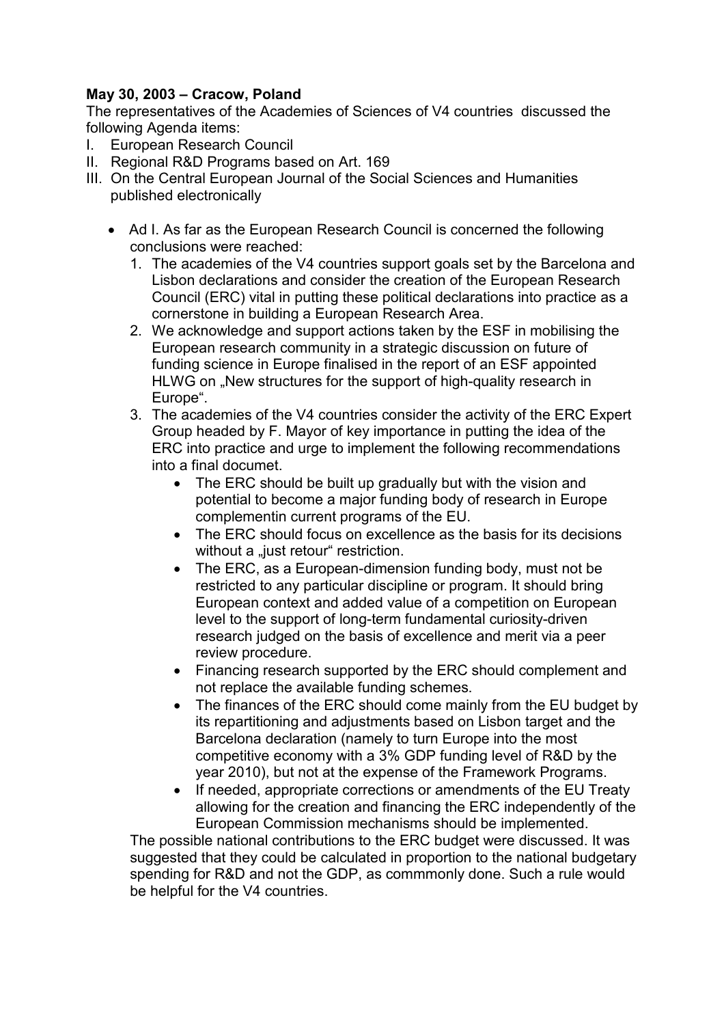## May 30, 2003 – Cracow, Poland

The representatives of the Academies of Sciences of V4 countries discussed the following Agenda items:

- I. European Research Council
- II. Regional R&D Programs based on Art. 169
- III. On the Central European Journal of the Social Sciences and Humanities published electronically
	- Ad I. As far as the European Research Council is concerned the following conclusions were reached:
		- 1. The academies of the V4 countries support goals set by the Barcelona and Lisbon declarations and consider the creation of the European Research Council (ERC) vital in putting these political declarations into practice as a cornerstone in building a European Research Area.
		- 2. We acknowledge and support actions taken by the ESF in mobilising the European research community in a strategic discussion on future of funding science in Europe finalised in the report of an ESF appointed HLWG on . New structures for the support of high-quality research in Europe".
		- 3. The academies of the V4 countries consider the activity of the ERC Expert Group headed by F. Mayor of key importance in putting the idea of the ERC into practice and urge to implement the following recommendations into a final documet.
			- The ERC should be built up gradually but with the vision and potential to become a major funding body of research in Europe complementin current programs of the EU.
			- The ERC should focus on excellence as the basis for its decisions without a "just retour" restriction.
			- The ERC, as a European-dimension funding body, must not be restricted to any particular discipline or program. It should bring European context and added value of a competition on European level to the support of long-term fundamental curiosity-driven research judged on the basis of excellence and merit via a peer review procedure.
			- Financing research supported by the ERC should complement and not replace the available funding schemes.
			- The finances of the ERC should come mainly from the EU budget by its repartitioning and adjustments based on Lisbon target and the Barcelona declaration (namely to turn Europe into the most competitive economy with a 3% GDP funding level of R&D by the year 2010), but not at the expense of the Framework Programs.
			- If needed, appropriate corrections or amendments of the EU Treaty allowing for the creation and financing the ERC independently of the European Commission mechanisms should be implemented.

The possible national contributions to the ERC budget were discussed. It was suggested that they could be calculated in proportion to the national budgetary spending for R&D and not the GDP, as commmonly done. Such a rule would be helpful for the V4 countries.